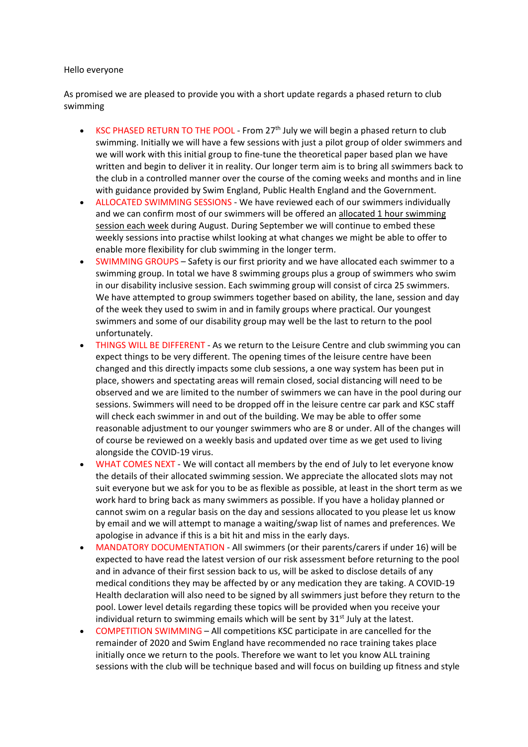## Hello everyone

As promised we are pleased to provide you with a short update regards a phased return to club swimming

- KSC PHASED RETURN TO THE POOL From  $27<sup>th</sup>$  July we will begin a phased return to club swimming. Initially we will have a few sessions with just a pilot group of older swimmers and we will work with this initial group to fine-tune the theoretical paper based plan we have written and begin to deliver it in reality. Our longer term aim is to bring all swimmers back to the club in a controlled manner over the course of the coming weeks and months and in line with guidance provided by Swim England, Public Health England and the Government.
- ALLOCATED SWIMMING SESSIONS We have reviewed each of our swimmers individually and we can confirm most of our swimmers will be offered an allocated 1 hour swimming session each week during August. During September we will continue to embed these weekly sessions into practise whilst looking at what changes we might be able to offer to enable more flexibility for club swimming in the longer term.
- SWIMMING GROUPS Safety is our first priority and we have allocated each swimmer to a swimming group. In total we have 8 swimming groups plus a group of swimmers who swim in our disability inclusive session. Each swimming group will consist of circa 25 swimmers. We have attempted to group swimmers together based on ability, the lane, session and day of the week they used to swim in and in family groups where practical. Our youngest swimmers and some of our disability group may well be the last to return to the pool unfortunately.
- THINGS WILL BE DIFFERENT As we return to the Leisure Centre and club swimming you can expect things to be very different. The opening times of the leisure centre have been changed and this directly impacts some club sessions, a one way system has been put in place, showers and spectating areas will remain closed, social distancing will need to be observed and we are limited to the number of swimmers we can have in the pool during our sessions. Swimmers will need to be dropped off in the leisure centre car park and KSC staff will check each swimmer in and out of the building. We may be able to offer some reasonable adjustment to our younger swimmers who are 8 or under. All of the changes will of course be reviewed on a weekly basis and updated over time as we get used to living alongside the COVID‐19 virus.
- WHAT COMES NEXT We will contact all members by the end of July to let everyone know the details of their allocated swimming session. We appreciate the allocated slots may not suit everyone but we ask for you to be as flexible as possible, at least in the short term as we work hard to bring back as many swimmers as possible. If you have a holiday planned or cannot swim on a regular basis on the day and sessions allocated to you please let us know by email and we will attempt to manage a waiting/swap list of names and preferences. We apologise in advance if this is a bit hit and miss in the early days.
- MANDATORY DOCUMENTATION ‐ All swimmers (or their parents/carers if under 16) will be expected to have read the latest version of our risk assessment before returning to the pool and in advance of their first session back to us, will be asked to disclose details of any medical conditions they may be affected by or any medication they are taking. A COVID‐19 Health declaration will also need to be signed by all swimmers just before they return to the pool. Lower level details regarding these topics will be provided when you receive your individual return to swimming emails which will be sent by  $31<sup>st</sup>$  July at the latest.
- COMPETITION SWIMMING All competitions KSC participate in are cancelled for the remainder of 2020 and Swim England have recommended no race training takes place initially once we return to the pools. Therefore we want to let you know ALL training sessions with the club will be technique based and will focus on building up fitness and style